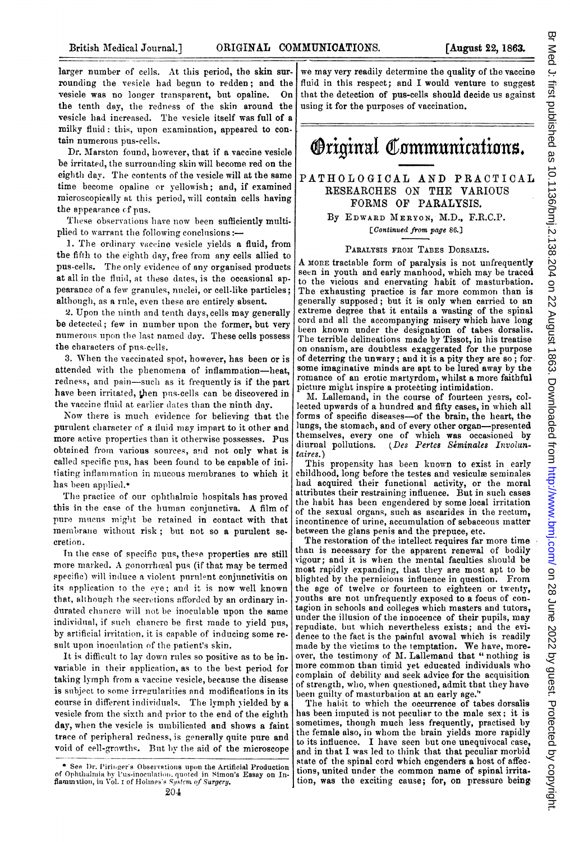larger number of cells. At this period, the skin surrounding the vesicle had begun to redden; and the vesicle was no longer transparent, but opaline. On the tenth day, the redness of the skin around the vesicle had increased. The vesicle itself was full of a milky fluid: this, upon examination, appeared to contain numerous pus-cells.

Dr. Marston found, however, that if a vaccine vesicle be irritated, the surrounding skin will become red on the eighth day. The contents of the vesicle will at the same time become opaline or Yellowish; and, if examined microscopically at this period, will contain cells having the appearance cf pus.

These observations have now been sufficiently multiplied to warrant the following conclusions:-

1. The ordinary vaccine vesicle yields a fluid, from the fifth to the eighth day, free from any cells allied to pus-cells. The only evidence of any organised products at all in the fluid, at these dates, is the occasional appearance of a few granules, nuclei, or cell-like particles; although, as a rule, even these are entirely absent.

2. Upon the ninth and tenth days, cells may generally be detected; few in number upon the former, but very numerous upon the last named day. These cells possess the characters of pus-cells.

3. When the vaccinated spot, however, has been or is attended with the phenomena of inflammation-heat, redness, and pain-such as it frequently is if the part have been irritated, then pus-cells can be discovered in the vaccine fluid at earlier dates than the ninth day.

Now there is much evidence for believing that the purulent character of a fluid may impart to it other and more active properties than it otherwise possesses. Pus obtained from various sources, and not only what is called specific pus, has been found to be capable of initiating inflammation in mucous membranes to which it has been applied.\*

The practice of our ophthalmic hospitals has proved this in the case of the human conjunctiva. A film of pure mucus might be retained in contact with that membrane without risk; but not so a purulent secretion.

In the case of specific pus, these properties are still more marked. A gonorrhœal pus (if that may be termed specific) will induce a violent purulent conjunctivitis on its npplication to the eye; and it is now well known that, although the secretions nfforded by an ordinary indurated chancre will not be inoculable upon the same individual, if such chancre be first made to yield pus, by artificial irritation, it is capable of inducing some result upon inoculation of the patient's skin.

It is difficult to lay down ruiles so positive as to be invariable in their application, as to the best period for taking lymph from a vaccine vesicle, because the disease is subject to some irregularities and modifications in its course in different individuals. The lymph yielded by a vesicle from the sixth and prior to the end of the eighth day, when the vesicle is umbilicated and shows a faint trace of peripheral redness, is generally quite pure and void of cell-growths. Buit hy the aid of the microscope we may very readily determine the quality of the vaccine fluid in this respect; and I would venture to suggest that the detection of pus-cells should decide us against using it for the purposes of vaccination.



## PATHOLOGICAL AND PRACTICAL RESEARCHES ON THE VARIOUS FORMS OF PARALYSIS.

By EDWARD MERYON, M.D., F.R.C.P. [Continued from page 86.]

## PARALYSIS FROM TABES DORSALIS.

A MORE tractable form of paralysis is not unfrequently seen in youth and early manhood, which may be traced to the vicious and enervating habit of masturbation. The exhausting practice is far more common than is generally supposed; but it is only when carried to an extreme degree that it entails a wasting of the spinal cord and all the accompanying misery which have long been known under the designation of tabes dorsalis. The terrible delineations made by Tissot, in his treatise on onanism, are doubtless exaggerated for the purpose of deterring the unwary; and it is a pity they are so; for. some imaginative minds are apt to be lured away by the romance of an erotic martyrdom, whilst a more faithful picture might inspire a protecting intimidation.

M. Lallemand, in the course of fourteen years, collected upwards of a hundred and fifty cases, in which all forms of specific diseases-of the brain, the heart, the lungs, the stomach, and of every other organ-presented themselves, every one of which was occasioned by diurnal pollutions. (Des Pertes Seminales Involun-(Des Pertes Seminales Involuntaires. )

This propensity has been known to exist in early childhood, long before the testes and vesiculæ seminales had acquired their functional activity, or the moral attributes their restraining influence. But in such cases the habit has been engendered by some local irritation of the sexual organs, such as ascarides in the rectum, incontinence of urine, accumulation of sebaceous matter between the glans penis and the prepuce, etc.

The restoration of the intellect requires far more time than is necessary for the apparent renewal of bodily vigour; and it is when the mental faculties should be most rapidly expanding, that they are most apt to be blighted by the pernicious influence in question. From the age of twelve or fourteen to eighteen or twerty, youths are not unfrequently exposed to a focus of contagion in schools and colleges which masters and tutors, under the illusion of the innocence of their pupils, may repudiate, but which nevertheless exists; and the evidence to the fact is the painfnil avowal which is readily made by the victims to the temptation. We have, moreover, the testimony of A. Lallemand that "nothing is more common than timid yet educated individuals who complain of debility and seek advice for the acquisition of strength, who, when questioned, admit that they have been guilty of masturbation at an early age."

The habit to which the occurrence of tabes dorsalis has been imputed is not peculiar to the male sex; it is sometimes, though much less frequently, practised by the female also, in whom the brain yields more rapidly to its influence. I lhave seen but one unequivocal case, and in that I was led to think that that peculiar morbid state of the spinal cord which engenders a host of affec. tions, united under the common name of spinal irritation, was the exciting cause; for, on pressure being

<sup>\*</sup> See Dr. Piringer's Observations upon the Artificial Production of Ophthalmia by Pus-inoculation, quoted in Simon's Essay on In-<br>flammation, in Vol. 1 of Holmes's System of Surgery.